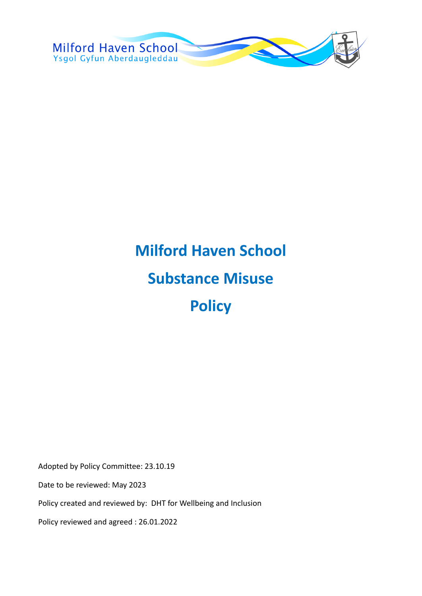

# **Milford Haven School Substance Misuse Policy**

Adopted by Policy Committee: 23.10.19 Date to be reviewed: May 2023 Policy created and reviewed by: DHT for Wellbeing and Inclusion

Policy reviewed and agreed : 26.01.2022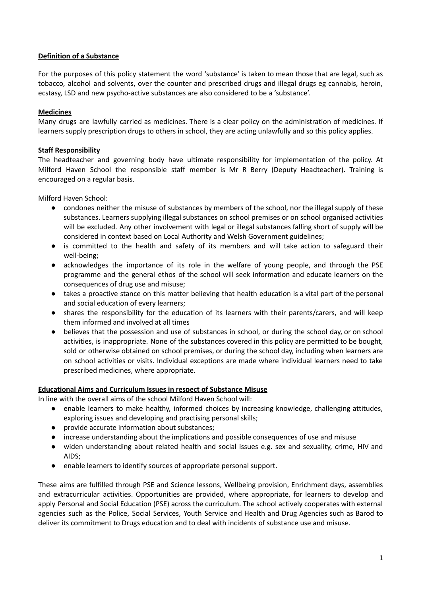# **Definition of a Substance**

For the purposes of this policy statement the word 'substance' is taken to mean those that are legal, such as tobacco, alcohol and solvents, over the counter and prescribed drugs and illegal drugs eg cannabis, heroin, ecstasy, LSD and new psycho-active substances are also considered to be a 'substance'.

# **Medicines**

Many drugs are lawfully carried as medicines. There is a clear policy on the administration of medicines. If learners supply prescription drugs to others in school, they are acting unlawfully and so this policy applies.

## **Staff Responsibility**

The headteacher and governing body have ultimate responsibility for implementation of the policy. At Milford Haven School the responsible staff member is Mr R Berry (Deputy Headteacher). Training is encouraged on a regular basis.

Milford Haven School:

- condones neither the misuse of substances by members of the school, nor the illegal supply of these substances. Learners supplying illegal substances on school premises or on school organised activities will be excluded. Any other involvement with legal or illegal substances falling short of supply will be considered in context based on Local Authority and Welsh Government guidelines;
- is committed to the health and safety of its members and will take action to safeguard their well-being;
- acknowledges the importance of its role in the welfare of young people, and through the PSE programme and the general ethos of the school will seek information and educate learners on the consequences of drug use and misuse;
- takes a proactive stance on this matter believing that health education is a vital part of the personal and social education of every learners;
- shares the responsibility for the education of its learners with their parents/carers, and will keep them informed and involved at all times
- believes that the possession and use of substances in school, or during the school day, or on school activities, is inappropriate. None of the substances covered in this policy are permitted to be bought, sold or otherwise obtained on school premises, or during the school day, including when learners are on school activities or visits. Individual exceptions are made where individual learners need to take prescribed medicines, where appropriate.

### **Educational Aims and Curriculum Issues in respect of Substance Misuse**

In line with the overall aims of the school Milford Haven School will:

- enable learners to make healthy, informed choices by increasing knowledge, challenging attitudes, exploring issues and developing and practising personal skills;
- provide accurate information about substances;
- increase understanding about the implications and possible consequences of use and misuse
- widen understanding about related health and social issues e.g. sex and sexuality, crime, HIV and AIDS;
- enable learners to identify sources of appropriate personal support.

These aims are fulfilled through PSE and Science lessons, Wellbeing provision, Enrichment days, assemblies and extracurricular activities. Opportunities are provided, where appropriate, for learners to develop and apply Personal and Social Education (PSE) across the curriculum. The school actively cooperates with external agencies such as the Police, Social Services, Youth Service and Health and Drug Agencies such as Barod to deliver its commitment to Drugs education and to deal with incidents of substance use and misuse.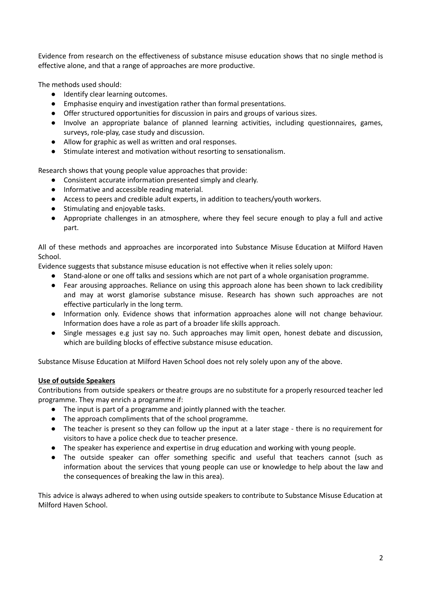Evidence from research on the effectiveness of substance misuse education shows that no single method is effective alone, and that a range of approaches are more productive.

The methods used should:

- Identify clear learning outcomes.
- Emphasise enquiry and investigation rather than formal presentations.
- Offer structured opportunities for discussion in pairs and groups of various sizes.
- Involve an appropriate balance of planned learning activities, including questionnaires, games, surveys, role-play, case study and discussion.
- Allow for graphic as well as written and oral responses.
- Stimulate interest and motivation without resorting to sensationalism.

Research shows that young people value approaches that provide:

- Consistent accurate information presented simply and clearly.
- Informative and accessible reading material.
- Access to peers and credible adult experts, in addition to teachers/youth workers.
- Stimulating and enjoyable tasks.
- Appropriate challenges in an atmosphere, where they feel secure enough to play a full and active part.

All of these methods and approaches are incorporated into Substance Misuse Education at Milford Haven School.

Evidence suggests that substance misuse education is not effective when it relies solely upon:

- Stand-alone or one off talks and sessions which are not part of a whole organisation programme.
- Fear arousing approaches. Reliance on using this approach alone has been shown to lack credibility and may at worst glamorise substance misuse. Research has shown such approaches are not effective particularly in the long term.
- Information only. Evidence shows that information approaches alone will not change behaviour. Information does have a role as part of a broader life skills approach.
- Single messages e.g just say no. Such approaches may limit open, honest debate and discussion, which are building blocks of effective substance misuse education.

Substance Misuse Education at Milford Haven School does not rely solely upon any of the above.

# **Use of outside Speakers**

Contributions from outside speakers or theatre groups are no substitute for a properly resourced teacher led programme. They may enrich a programme if:

- The input is part of a programme and jointly planned with the teacher.
- The approach compliments that of the school programme.
- The teacher is present so they can follow up the input at a later stage there is no requirement for visitors to have a police check due to teacher presence.
- The speaker has experience and expertise in drug education and working with young people.
- The outside speaker can offer something specific and useful that teachers cannot (such as information about the services that young people can use or knowledge to help about the law and the consequences of breaking the law in this area).

This advice is always adhered to when using outside speakers to contribute to Substance Misuse Education at Milford Haven School.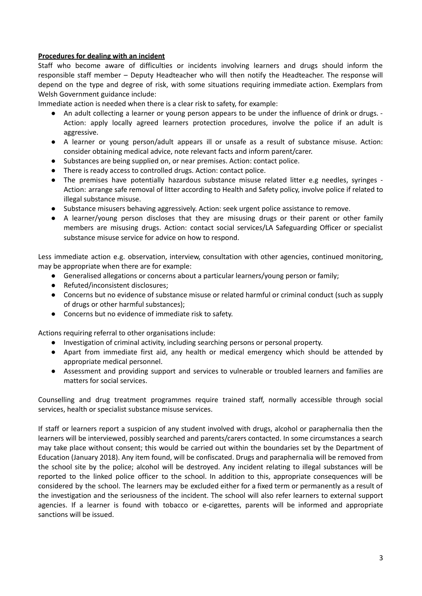# **Procedures for dealing with an incident**

Staff who become aware of difficulties or incidents involving learners and drugs should inform the responsible staff member – Deputy Headteacher who will then notify the Headteacher. The response will depend on the type and degree of risk, with some situations requiring immediate action. Exemplars from Welsh Government guidance include:

Immediate action is needed when there is a clear risk to safety, for example:

- An adult collecting a learner or young person appears to be under the influence of drink or drugs. Action: apply locally agreed learners protection procedures, involve the police if an adult is aggressive.
- A learner or young person/adult appears ill or unsafe as a result of substance misuse. Action: consider obtaining medical advice, note relevant facts and inform parent/carer.
- Substances are being supplied on, or near premises. Action: contact police.
- There is ready access to controlled drugs. Action: contact police.
- The premises have potentially hazardous substance misuse related litter e.g needles, syringes -Action: arrange safe removal of litter according to Health and Safety policy, involve police if related to illegal substance misuse.
- Substance misusers behaving aggressively. Action: seek urgent police assistance to remove.
- A learner/young person discloses that they are misusing drugs or their parent or other family members are misusing drugs. Action: contact social services/LA Safeguarding Officer or specialist substance misuse service for advice on how to respond.

Less immediate action e.g. observation, interview, consultation with other agencies, continued monitoring, may be appropriate when there are for example:

- Generalised allegations or concerns about a particular learners/young person or family;
- Refuted/inconsistent disclosures;
- Concerns but no evidence of substance misuse or related harmful or criminal conduct (such as supply of drugs or other harmful substances);
- Concerns but no evidence of immediate risk to safety.

Actions requiring referral to other organisations include:

- Investigation of criminal activity, including searching persons or personal property.
- Apart from immediate first aid, any health or medical emergency which should be attended by appropriate medical personnel.
- Assessment and providing support and services to vulnerable or troubled learners and families are matters for social services.

Counselling and drug treatment programmes require trained staff, normally accessible through social services, health or specialist substance misuse services.

If staff or learners report a suspicion of any student involved with drugs, alcohol or paraphernalia then the learners will be interviewed, possibly searched and parents/carers contacted. In some circumstances a search may take place without consent; this would be carried out within the boundaries set by the Department of Education (January 2018). Any item found, will be confiscated. Drugs and paraphernalia will be removed from the school site by the police; alcohol will be destroyed. Any incident relating to illegal substances will be reported to the linked police officer to the school. In addition to this, appropriate consequences will be considered by the school. The learners may be excluded either for a fixed term or permanently as a result of the investigation and the seriousness of the incident. The school will also refer learners to external support agencies. If a learner is found with tobacco or e-cigarettes, parents will be informed and appropriate sanctions will be issued.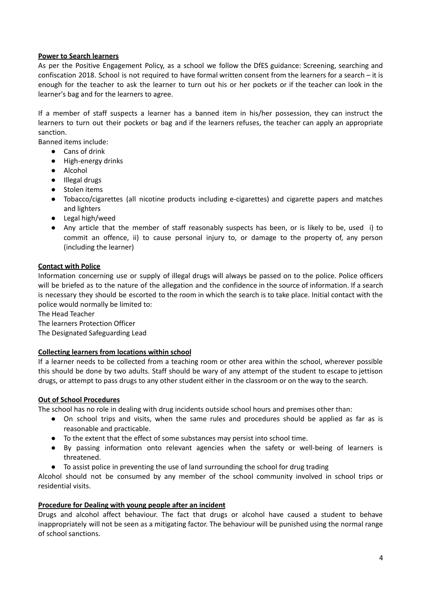# **Power to Search learners**

As per the Positive Engagement Policy, as a school we follow the DfES guidance: Screening, searching and confiscation 2018. School is not required to have formal written consent from the learners for a search – it is enough for the teacher to ask the learner to turn out his or her pockets or if the teacher can look in the learner's bag and for the learners to agree.

If a member of staff suspects a learner has a banned item in his/her possession, they can instruct the learners to turn out their pockets or bag and if the learners refuses, the teacher can apply an appropriate sanction.

Banned items include:

- Cans of drink
- High-energy drinks
- Alcohol
- Illegal drugs
- Stolen items
- Tobacco/cigarettes (all nicotine products including e-cigarettes) and cigarette papers and matches and lighters
- Legal high/weed
- Any article that the member of staff reasonably suspects has been, or is likely to be, used i) to commit an offence, ii) to cause personal injury to, or damage to the property of, any person (including the learner)

### **Contact with Police**

Information concerning use or supply of illegal drugs will always be passed on to the police. Police officers will be briefed as to the nature of the allegation and the confidence in the source of information. If a search is necessary they should be escorted to the room in which the search is to take place. Initial contact with the police would normally be limited to:

The Head Teacher

The learners Protection Officer

The Designated Safeguarding Lead

## **Collecting learners from locations within school**

If a learner needs to be collected from a teaching room or other area within the school, wherever possible this should be done by two adults. Staff should be wary of any attempt of the student to escape to jettison drugs, or attempt to pass drugs to any other student either in the classroom or on the way to the search.

### **Out of School Procedures**

The school has no role in dealing with drug incidents outside school hours and premises other than:

- On school trips and visits, when the same rules and procedures should be applied as far as is reasonable and practicable.
- To the extent that the effect of some substances may persist into school time.
- By passing information onto relevant agencies when the safety or well-being of learners is threatened.
- To assist police in preventing the use of land surrounding the school for drug trading

Alcohol should not be consumed by any member of the school community involved in school trips or residential visits.

### **Procedure for Dealing with young people after an incident**

Drugs and alcohol affect behaviour. The fact that drugs or alcohol have caused a student to behave inappropriately will not be seen as a mitigating factor. The behaviour will be punished using the normal range of school sanctions.